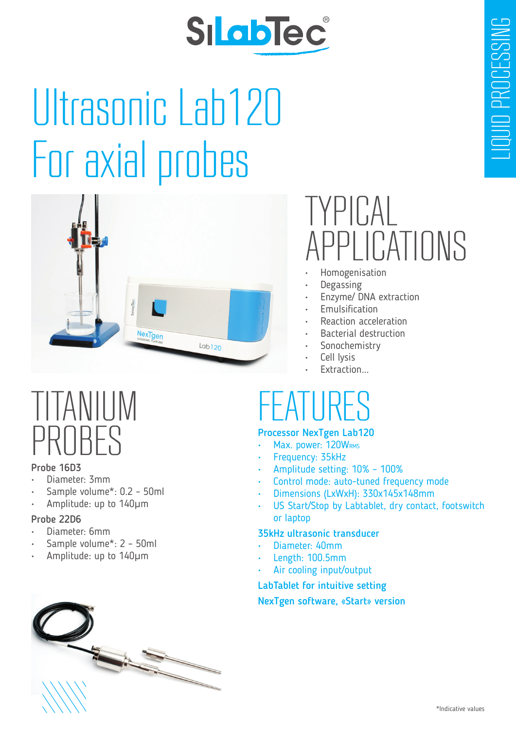# SILablec

# Ultrasonic Lab120 For axial probes



### TITANIUM PROBES

#### Probe 16D3

- Diameter: 3mm
- Sample volume\*: 0.2 50ml
- Amplitude: up to 140μm

#### Probe 22D6

- Diameter: 6mm
- Sample volume\*: 2 50ml
- Amplitude: up to 140μm

### $\mathsf{Pf}\cap\mathsf{C}$ PI ICATIONS

- Homogenisation
- Degassing
- Enzyme/ DNA extraction
- **Emulsification**
- Reaction acceleration
- Bacterial destruction
- Sonochemistry
- Cell Ivsis
- Extraction...

## FEATURES

#### Processor NexTgen Lab120

- Max. power: 120WRMS
- Frequency: 35kHz
- Amplitude setting: 10% 100%
- Control mode: auto-tuned frequency mode
- Dimensions (LxWxH): 330x145x148mm
- US Start/Stop by Labtablet, dry contact, footswitch or laptop

#### 35kHz ultrasonic transducer

- Diameter: 40mm
- Length: 100.5mm
- Air cooling input/output

#### LabTablet for intuitive setting

#### NexTgen software, «Start» version